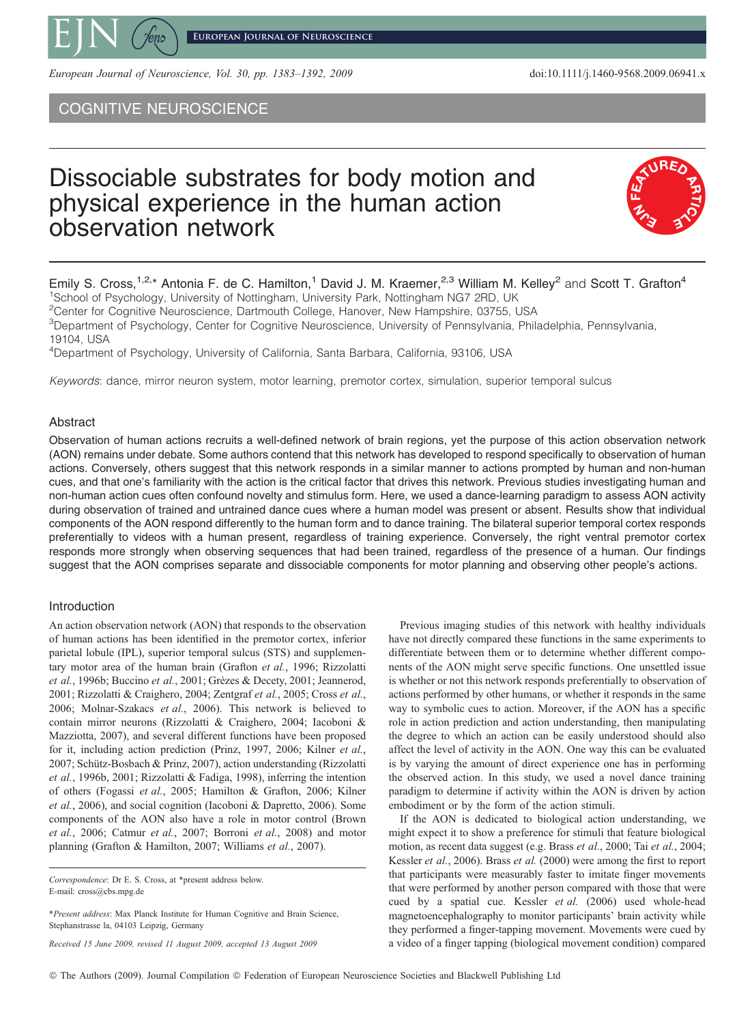**European Journal of Neuroscience**

European Journal of Neuroscience, Vol. 30, pp. 1383–1392, 2009 doi:10.1111/j.1460-9568.2009.06941.x

COGNITIVE NEUROSCIENCE

# Dissociable substrates for body motion and physical experience in the human action observation network



Emily S. Cross,<sup>1,2,\*</sup> Antonia F. de C. Hamilton,<sup>1</sup> David J. M. Kraemer,<sup>2,3</sup> William M. Kelley<sup>2</sup> and Scott T. Grafton<sup>4</sup>

<sup>1</sup>School of Psychology, University of Nottingham, University Park, Nottingham NG7 2RD, UK

<sup>2</sup>Center for Cognitive Neuroscience, Dartmouth College, Hanover, New Hampshire, 03755, USA

<sup>3</sup>Department of Psychology, Center for Cognitive Neuroscience, University of Pennsylvania, Philadelphia, Pennsylvania, 19104, USA

4 Department of Psychology, University of California, Santa Barbara, California, 93106, USA

Keywords: dance, mirror neuron system, motor learning, premotor cortex, simulation, superior temporal sulcus

# Abstract

Observation of human actions recruits a well-defined network of brain regions, yet the purpose of this action observation network (AON) remains under debate. Some authors contend that this network has developed to respond specifically to observation of human actions. Conversely, others suggest that this network responds in a similar manner to actions prompted by human and non-human cues, and that one's familiarity with the action is the critical factor that drives this network. Previous studies investigating human and non-human action cues often confound novelty and stimulus form. Here, we used a dance-learning paradigm to assess AON activity during observation of trained and untrained dance cues where a human model was present or absent. Results show that individual components of the AON respond differently to the human form and to dance training. The bilateral superior temporal cortex responds preferentially to videos with a human present, regardless of training experience. Conversely, the right ventral premotor cortex responds more strongly when observing sequences that had been trained, regardless of the presence of a human. Our findings suggest that the AON comprises separate and dissociable components for motor planning and observing other people's actions.

# Introduction

An action observation network (AON) that responds to the observation of human actions has been identified in the premotor cortex, inferior parietal lobule (IPL), superior temporal sulcus (STS) and supplementary motor area of the human brain (Grafton et al., 1996; Rizzolatti et al., 1996b; Buccino et al., 2001; Grèzes & Decety, 2001; Jeannerod, 2001; Rizzolatti & Craighero, 2004; Zentgraf et al., 2005; Cross et al., 2006; Molnar-Szakacs et al., 2006). This network is believed to contain mirror neurons (Rizzolatti & Craighero, 2004; Iacoboni & Mazziotta, 2007), and several different functions have been proposed for it, including action prediction (Prinz, 1997, 2006; Kilner et al., 2007; Schütz-Bosbach & Prinz, 2007), action understanding (Rizzolatti et al., 1996b, 2001; Rizzolatti & Fadiga, 1998), inferring the intention of others (Fogassi et al., 2005; Hamilton & Grafton, 2006; Kilner et al., 2006), and social cognition (Iacoboni & Dapretto, 2006). Some components of the AON also have a role in motor control (Brown et al., 2006; Catmur et al., 2007; Borroni et al., 2008) and motor planning (Grafton & Hamilton, 2007; Williams et al., 2007).

\*Present address: Max Planck Institute for Human Cognitive and Brain Science, Stephanstrasse la, 04103 Leipzig, Germany

Received 15 June 2009, revised 11 August 2009, accepted 13 August 2009

Previous imaging studies of this network with healthy individuals have not directly compared these functions in the same experiments to differentiate between them or to determine whether different components of the AON might serve specific functions. One unsettled issue is whether or not this network responds preferentially to observation of actions performed by other humans, or whether it responds in the same way to symbolic cues to action. Moreover, if the AON has a specific role in action prediction and action understanding, then manipulating the degree to which an action can be easily understood should also affect the level of activity in the AON. One way this can be evaluated is by varying the amount of direct experience one has in performing the observed action. In this study, we used a novel dance training paradigm to determine if activity within the AON is driven by action embodiment or by the form of the action stimuli.

If the AON is dedicated to biological action understanding, we might expect it to show a preference for stimuli that feature biological motion, as recent data suggest (e.g. Brass et al., 2000; Tai et al., 2004; Kessler et al., 2006). Brass et al. (2000) were among the first to report that participants were measurably faster to imitate finger movements that were performed by another person compared with those that were cued by a spatial cue. Kessler et al. (2006) used whole-head magnetoencephalography to monitor participants' brain activity while they performed a finger-tapping movement. Movements were cued by a video of a finger tapping (biological movement condition) compared

Correspondence: Dr E. S. Cross, at \*present address below. E-mail: cross@cbs.mpg.de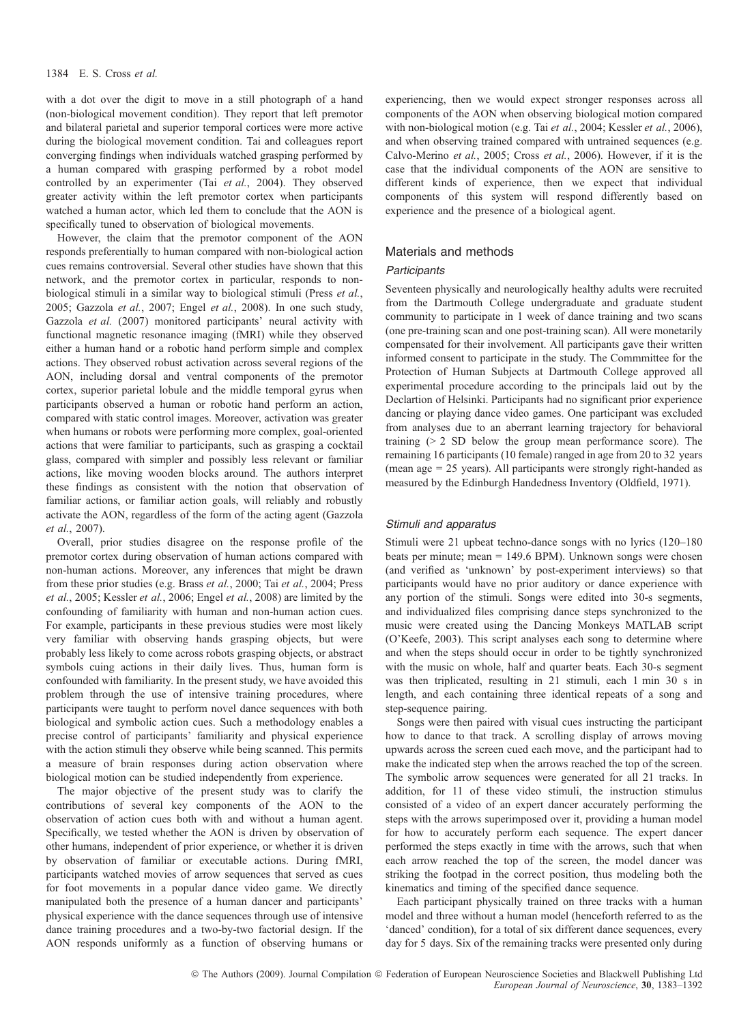with a dot over the digit to move in a still photograph of a hand (non-biological movement condition). They report that left premotor and bilateral parietal and superior temporal cortices were more active during the biological movement condition. Tai and colleagues report converging findings when individuals watched grasping performed by a human compared with grasping performed by a robot model controlled by an experimenter (Tai et al., 2004). They observed greater activity within the left premotor cortex when participants watched a human actor, which led them to conclude that the AON is specifically tuned to observation of biological movements.

However, the claim that the premotor component of the AON responds preferentially to human compared with non-biological action cues remains controversial. Several other studies have shown that this network, and the premotor cortex in particular, responds to nonbiological stimuli in a similar way to biological stimuli (Press et al., 2005; Gazzola et al., 2007; Engel et al., 2008). In one such study, Gazzola et al. (2007) monitored participants' neural activity with functional magnetic resonance imaging (fMRI) while they observed either a human hand or a robotic hand perform simple and complex actions. They observed robust activation across several regions of the AON, including dorsal and ventral components of the premotor cortex, superior parietal lobule and the middle temporal gyrus when participants observed a human or robotic hand perform an action, compared with static control images. Moreover, activation was greater when humans or robots were performing more complex, goal-oriented actions that were familiar to participants, such as grasping a cocktail glass, compared with simpler and possibly less relevant or familiar actions, like moving wooden blocks around. The authors interpret these findings as consistent with the notion that observation of familiar actions, or familiar action goals, will reliably and robustly activate the AON, regardless of the form of the acting agent (Gazzola et al., 2007).

Overall, prior studies disagree on the response profile of the premotor cortex during observation of human actions compared with non-human actions. Moreover, any inferences that might be drawn from these prior studies (e.g. Brass et al., 2000; Tai et al., 2004; Press et al., 2005; Kessler et al., 2006; Engel et al., 2008) are limited by the confounding of familiarity with human and non-human action cues. For example, participants in these previous studies were most likely very familiar with observing hands grasping objects, but were probably less likely to come across robots grasping objects, or abstract symbols cuing actions in their daily lives. Thus, human form is confounded with familiarity. In the present study, we have avoided this problem through the use of intensive training procedures, where participants were taught to perform novel dance sequences with both biological and symbolic action cues. Such a methodology enables a precise control of participants' familiarity and physical experience with the action stimuli they observe while being scanned. This permits a measure of brain responses during action observation where biological motion can be studied independently from experience.

The major objective of the present study was to clarify the contributions of several key components of the AON to the observation of action cues both with and without a human agent. Specifically, we tested whether the AON is driven by observation of other humans, independent of prior experience, or whether it is driven by observation of familiar or executable actions. During fMRI, participants watched movies of arrow sequences that served as cues for foot movements in a popular dance video game. We directly manipulated both the presence of a human dancer and participants' physical experience with the dance sequences through use of intensive dance training procedures and a two-by-two factorial design. If the AON responds uniformly as a function of observing humans or

experiencing, then we would expect stronger responses across all components of the AON when observing biological motion compared with non-biological motion (e.g. Tai et al., 2004; Kessler et al., 2006), and when observing trained compared with untrained sequences (e.g. Calvo-Merino et al., 2005; Cross et al., 2006). However, if it is the case that the individual components of the AON are sensitive to different kinds of experience, then we expect that individual components of this system will respond differently based on experience and the presence of a biological agent.

# Materials and methods

#### **Participants**

Seventeen physically and neurologically healthy adults were recruited from the Dartmouth College undergraduate and graduate student community to participate in 1 week of dance training and two scans (one pre-training scan and one post-training scan). All were monetarily compensated for their involvement. All participants gave their written informed consent to participate in the study. The Commmittee for the Protection of Human Subjects at Dartmouth College approved all experimental procedure according to the principals laid out by the Declartion of Helsinki. Participants had no significant prior experience dancing or playing dance video games. One participant was excluded from analyses due to an aberrant learning trajectory for behavioral training  $(> 2$  SD below the group mean performance score). The remaining 16 participants (10 female) ranged in age from 20 to 32 years (mean age = 25 years). All participants were strongly right-handed as measured by the Edinburgh Handedness Inventory (Oldfield, 1971).

#### Stimuli and apparatus

Stimuli were 21 upbeat techno-dance songs with no lyrics (120–180 beats per minute; mean = 149.6 BPM). Unknown songs were chosen (and verified as 'unknown' by post-experiment interviews) so that participants would have no prior auditory or dance experience with any portion of the stimuli. Songs were edited into 30-s segments, and individualized files comprising dance steps synchronized to the music were created using the Dancing Monkeys MATLAB script (O'Keefe, 2003). This script analyses each song to determine where and when the steps should occur in order to be tightly synchronized with the music on whole, half and quarter beats. Each 30-s segment was then triplicated, resulting in 21 stimuli, each 1 min 30 s in length, and each containing three identical repeats of a song and step-sequence pairing.

Songs were then paired with visual cues instructing the participant how to dance to that track. A scrolling display of arrows moving upwards across the screen cued each move, and the participant had to make the indicated step when the arrows reached the top of the screen. The symbolic arrow sequences were generated for all 21 tracks. In addition, for 11 of these video stimuli, the instruction stimulus consisted of a video of an expert dancer accurately performing the steps with the arrows superimposed over it, providing a human model for how to accurately perform each sequence. The expert dancer performed the steps exactly in time with the arrows, such that when each arrow reached the top of the screen, the model dancer was striking the footpad in the correct position, thus modeling both the kinematics and timing of the specified dance sequence.

Each participant physically trained on three tracks with a human model and three without a human model (henceforth referred to as the 'danced' condition), for a total of six different dance sequences, every day for 5 days. Six of the remaining tracks were presented only during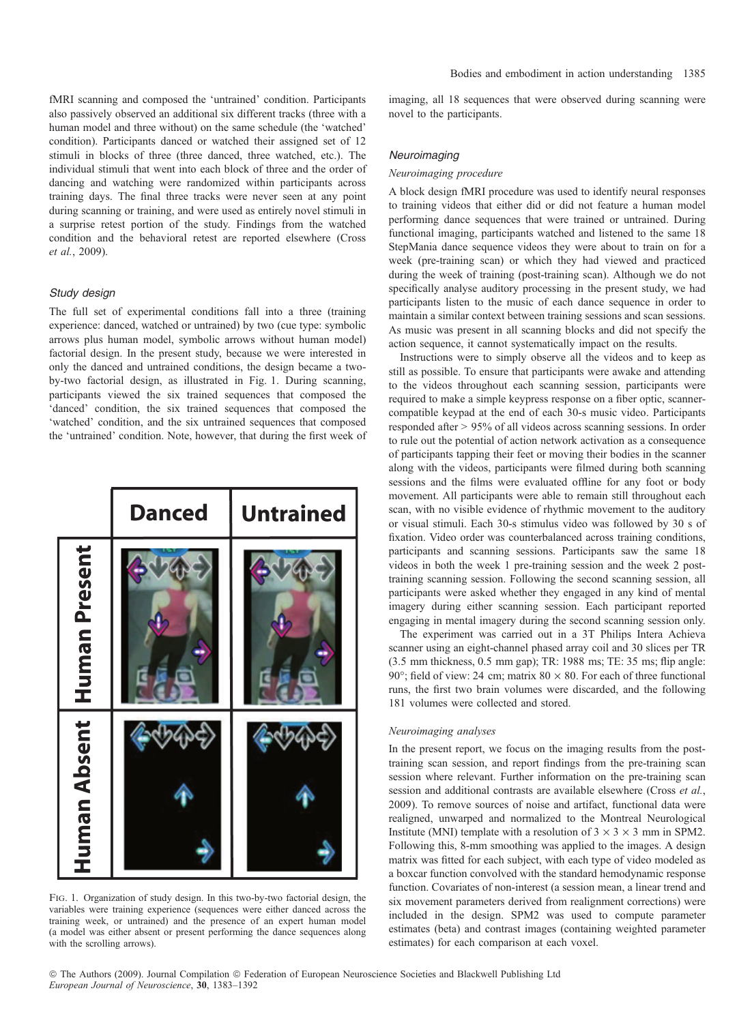fMRI scanning and composed the 'untrained' condition. Participants also passively observed an additional six different tracks (three with a human model and three without) on the same schedule (the 'watched' condition). Participants danced or watched their assigned set of 12 stimuli in blocks of three (three danced, three watched, etc.). The individual stimuli that went into each block of three and the order of dancing and watching were randomized within participants across training days. The final three tracks were never seen at any point during scanning or training, and were used as entirely novel stimuli in a surprise retest portion of the study. Findings from the watched condition and the behavioral retest are reported elsewhere (Cross et al., 2009).

#### Study design

The full set of experimental conditions fall into a three (training experience: danced, watched or untrained) by two (cue type: symbolic arrows plus human model, symbolic arrows without human model) factorial design. In the present study, because we were interested in only the danced and untrained conditions, the design became a twoby-two factorial design, as illustrated in Fig. 1. During scanning, participants viewed the six trained sequences that composed the 'danced' condition, the six trained sequences that composed the 'watched' condition, and the six untrained sequences that composed the 'untrained' condition. Note, however, that during the first week of



Fig. 1. Organization of study design. In this two-by-two factorial design, the variables were training experience (sequences were either danced across the training week, or untrained) and the presence of an expert human model (a model was either absent or present performing the dance sequences along with the scrolling arrows).

imaging, all 18 sequences that were observed during scanning were novel to the participants.

## Neuroimaging

#### Neuroimaging procedure

A block design fMRI procedure was used to identify neural responses to training videos that either did or did not feature a human model performing dance sequences that were trained or untrained. During functional imaging, participants watched and listened to the same 18 StepMania dance sequence videos they were about to train on for a week (pre-training scan) or which they had viewed and practiced during the week of training (post-training scan). Although we do not specifically analyse auditory processing in the present study, we had participants listen to the music of each dance sequence in order to maintain a similar context between training sessions and scan sessions. As music was present in all scanning blocks and did not specify the action sequence, it cannot systematically impact on the results.

Instructions were to simply observe all the videos and to keep as still as possible. To ensure that participants were awake and attending to the videos throughout each scanning session, participants were required to make a simple keypress response on a fiber optic, scannercompatible keypad at the end of each 30-s music video. Participants responded after > 95% of all videos across scanning sessions. In order to rule out the potential of action network activation as a consequence of participants tapping their feet or moving their bodies in the scanner along with the videos, participants were filmed during both scanning sessions and the films were evaluated offline for any foot or body movement. All participants were able to remain still throughout each scan, with no visible evidence of rhythmic movement to the auditory or visual stimuli. Each 30-s stimulus video was followed by 30 s of fixation. Video order was counterbalanced across training conditions, participants and scanning sessions. Participants saw the same 18 videos in both the week 1 pre-training session and the week 2 posttraining scanning session. Following the second scanning session, all participants were asked whether they engaged in any kind of mental imagery during either scanning session. Each participant reported engaging in mental imagery during the second scanning session only.

The experiment was carried out in a 3T Philips Intera Achieva scanner using an eight-channel phased array coil and 30 slices per TR (3.5 mm thickness, 0.5 mm gap); TR: 1988 ms; TE: 35 ms; flip angle: 90°; field of view: 24 cm; matrix 80  $\times$  80. For each of three functional runs, the first two brain volumes were discarded, and the following 181 volumes were collected and stored.

### Neuroimaging analyses

In the present report, we focus on the imaging results from the posttraining scan session, and report findings from the pre-training scan session where relevant. Further information on the pre-training scan session and additional contrasts are available elsewhere (Cross et al., 2009). To remove sources of noise and artifact, functional data were realigned, unwarped and normalized to the Montreal Neurological Institute (MNI) template with a resolution of  $3 \times 3 \times 3$  mm in SPM2. Following this, 8-mm smoothing was applied to the images. A design matrix was fitted for each subject, with each type of video modeled as a boxcar function convolved with the standard hemodynamic response function. Covariates of non-interest (a session mean, a linear trend and six movement parameters derived from realignment corrections) were included in the design. SPM2 was used to compute parameter estimates (beta) and contrast images (containing weighted parameter estimates) for each comparison at each voxel.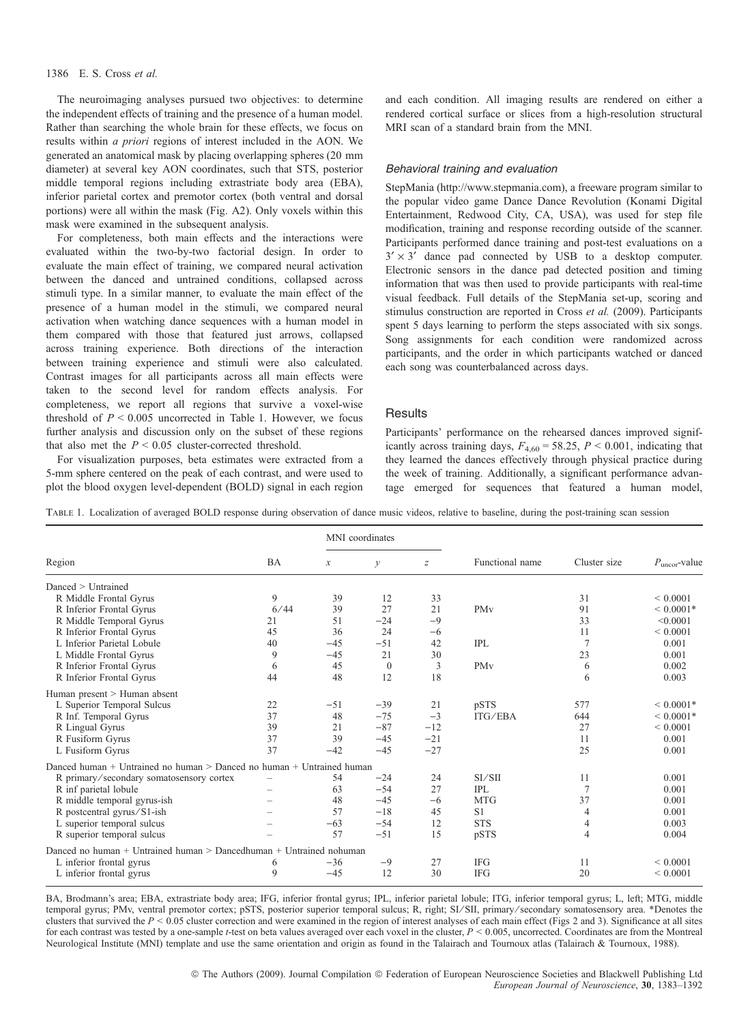#### 1386 E. S. Cross et al.

The neuroimaging analyses pursued two objectives: to determine the independent effects of training and the presence of a human model. Rather than searching the whole brain for these effects, we focus on results within a priori regions of interest included in the AON. We generated an anatomical mask by placing overlapping spheres (20 mm diameter) at several key AON coordinates, such that STS, posterior middle temporal regions including extrastriate body area (EBA), inferior parietal cortex and premotor cortex (both ventral and dorsal portions) were all within the mask (Fig. A2). Only voxels within this mask were examined in the subsequent analysis.

For completeness, both main effects and the interactions were evaluated within the two-by-two factorial design. In order to evaluate the main effect of training, we compared neural activation between the danced and untrained conditions, collapsed across stimuli type. In a similar manner, to evaluate the main effect of the presence of a human model in the stimuli, we compared neural activation when watching dance sequences with a human model in them compared with those that featured just arrows, collapsed across training experience. Both directions of the interaction between training experience and stimuli were also calculated. Contrast images for all participants across all main effects were taken to the second level for random effects analysis. For completeness, we report all regions that survive a voxel-wise threshold of  $P \le 0.005$  uncorrected in Table 1. However, we focus further analysis and discussion only on the subset of these regions that also met the  $P \le 0.05$  cluster-corrected threshold.

For visualization purposes, beta estimates were extracted from a 5-mm sphere centered on the peak of each contrast, and were used to plot the blood oxygen level-dependent (BOLD) signal in each region and each condition. All imaging results are rendered on either a rendered cortical surface or slices from a high-resolution structural MRI scan of a standard brain from the MNI.

#### Behavioral training and evaluation

StepMania (http://www.stepmania.com), a freeware program similar to the popular video game Dance Dance Revolution (Konami Digital Entertainment, Redwood City, CA, USA), was used for step file modification, training and response recording outside of the scanner. Participants performed dance training and post-test evaluations on a  $3' \times 3'$  dance pad connected by USB to a desktop computer. Electronic sensors in the dance pad detected position and timing information that was then used to provide participants with real-time visual feedback. Full details of the StepMania set-up, scoring and stimulus construction are reported in Cross et al. (2009). Participants spent 5 days learning to perform the steps associated with six songs. Song assignments for each condition were randomized across participants, and the order in which participants watched or danced each song was counterbalanced across days.

## **Results**

Participants' performance on the rehearsed dances improved significantly across training days,  $F_{4,60} = 58.25$ ,  $P < 0.001$ , indicating that they learned the dances effectively through physical practice during the week of training. Additionally, a significant performance advantage emerged for sequences that featured a human model,

Table 1. Localization of averaged BOLD response during observation of dance music videos, relative to baseline, during the post-training scan session

| Region                                                                    | <b>BA</b> | MNI coordinates |               |                  |                 |                |                           |
|---------------------------------------------------------------------------|-----------|-----------------|---------------|------------------|-----------------|----------------|---------------------------|
|                                                                           |           | $\mathcal{X}$   | $\mathcal{V}$ | $\boldsymbol{Z}$ | Functional name | Cluster size   | $P_{\text{uncor}}$ -value |
| Danced > Untrained                                                        |           |                 |               |                  |                 |                |                           |
| R Middle Frontal Gyrus                                                    | 9         | 39              | 12            | 33               |                 | 31             | ${}< 0.0001$              |
| R Inferior Frontal Gyrus                                                  | 6/44      | 39              | 27            | 21               | PM <sub>v</sub> | 91             | ${}< 0.0001*$             |
| R Middle Temporal Gyrus                                                   | 21        | 51              | $-24$         | $-9$             |                 | 33             | < 0.0001                  |
| R Inferior Frontal Gyrus                                                  | 45        | 36              | 24            | $-6$             |                 | 11             | ${}< 0.0001$              |
| L Inferior Parietal Lobule                                                | 40        | $-45$           | $-51$         | 42               | <b>IPL</b>      | $\overline{7}$ | 0.001                     |
| L Middle Frontal Gyrus                                                    | 9         | $-45$           | 21            | 30               |                 | 23             | 0.001                     |
| R Inferior Frontal Gyrus                                                  | 6         | 45              | $\mathbf{0}$  | 3                | PM <sub>v</sub> | 6              | 0.002                     |
| R Inferior Frontal Gyrus                                                  | 44        | 48              | 12            | 18               |                 | 6              | 0.003                     |
| Human present > Human absent                                              |           |                 |               |                  |                 |                |                           |
| L Superior Temporal Sulcus                                                | 22        | $-51$           | $-39$         | 21               | pSTS            | 577            | ${}< 0.0001*$             |
| R Inf. Temporal Gyrus                                                     | 37        | 48              | $-75$         | $-3$             | ITG/EBA         | 644            | ${}< 0.0001*$             |
| R Lingual Gyrus                                                           | 39        | 21              | $-87$         | $-12$            |                 | 27             | ${}< 0.0001$              |
| R Fusiform Gyrus                                                          | 37        | 39              | $-45$         | $-21$            |                 | 11             | 0.001                     |
| L Fusiform Gyrus                                                          | 37        | $-42$           | $-45$         | $-27$            |                 | 25             | 0.001                     |
| Danced human + Untrained no human $>$ Danced no human + Untrained human   |           |                 |               |                  |                 |                |                           |
| R primary/secondary somatosensory cortex                                  |           | 54              | $-24$         | 24               | SI/SH           | 11             | 0.001                     |
| R inf parietal lobule                                                     |           | 63              | $-54$         | 27               | IPL.            |                | 0.001                     |
| R middle temporal gyrus-ish                                               |           | 48              | $-45$         | $-6$             | <b>MTG</b>      | 37             | 0.001                     |
| R postcentral gyrus/S1-ish                                                |           | 57              | $-18$         | 45               | S <sub>1</sub>  | 4              | 0.001                     |
| L superior temporal sulcus                                                |           | $-63$           | $-54$         | 12               | <b>STS</b>      | 4              | 0.003                     |
| R superior temporal sulcus                                                |           | 57              | $-51$         | 15               | pSTS            | $\overline{4}$ | 0.004                     |
| Danced no human $+$ Untrained human $>$ Dancedhuman $+$ Untrained nohuman |           |                 |               |                  |                 |                |                           |
| L inferior frontal gyrus                                                  | 6         | $-36$           | $-9$          | 27               | <b>IFG</b>      | 11             | ${}< 0.0001$              |
| L inferior frontal gyrus                                                  | 9         | $-45$           | 12            | 30               | <b>IFG</b>      | 20             | ${}< 0.0001$              |

BA, Brodmann's area; EBA, extrastriate body area; IFG, inferior frontal gyrus; IPL, inferior parietal lobule; ITG, inferior temporal gyrus; L, left; MTG, middle temporal gyrus; PMv, ventral premotor cortex; pSTS, posterior superior temporal sulcus; R, right; SI/SII, primary/secondary somatosensory area. \*Denotes the clusters that survived the  $P < 0.05$  cluster correction and were examined in the region of interest analyses of each main effect (Figs 2 and 3). Significance at all sites for each contrast was tested by a one-sample t-test on beta values averaged over each voxel in the cluster,  $P < 0.005$ , uncorrected. Coordinates are from the Montreal Neurological Institute (MNI) template and use the same orientation and origin as found in the Talairach and Tournoux atlas (Talairach & Tournoux, 1988).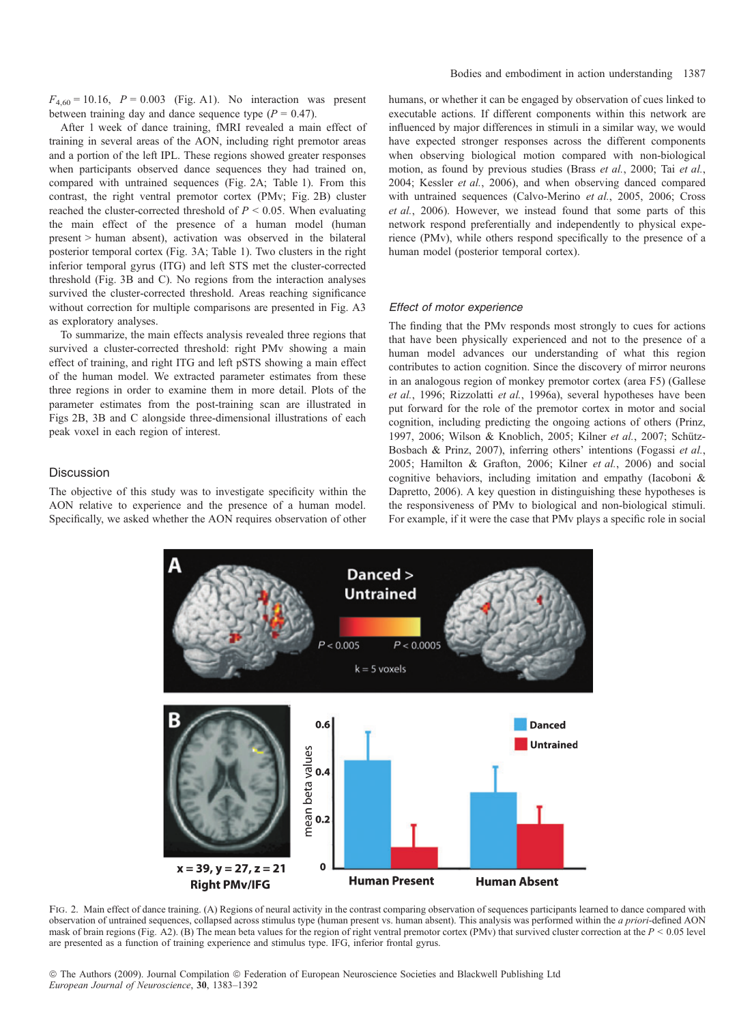$F_{4,60} = 10.16$ ,  $P = 0.003$  (Fig. A1). No interaction was present between training day and dance sequence type  $(P = 0.47)$ .

After 1 week of dance training, fMRI revealed a main effect of training in several areas of the AON, including right premotor areas and a portion of the left IPL. These regions showed greater responses when participants observed dance sequences they had trained on, compared with untrained sequences (Fig. 2A; Table 1). From this contrast, the right ventral premotor cortex (PMv; Fig. 2B) cluster reached the cluster-corrected threshold of  $P \le 0.05$ . When evaluating the main effect of the presence of a human model (human present > human absent), activation was observed in the bilateral posterior temporal cortex (Fig. 3A; Table 1). Two clusters in the right inferior temporal gyrus (ITG) and left STS met the cluster-corrected threshold (Fig. 3B and C). No regions from the interaction analyses survived the cluster-corrected threshold. Areas reaching significance without correction for multiple comparisons are presented in Fig. A3 as exploratory analyses.

To summarize, the main effects analysis revealed three regions that survived a cluster-corrected threshold: right PMv showing a main effect of training, and right ITG and left pSTS showing a main effect of the human model. We extracted parameter estimates from these three regions in order to examine them in more detail. Plots of the parameter estimates from the post-training scan are illustrated in Figs 2B, 3B and C alongside three-dimensional illustrations of each peak voxel in each region of interest.

# Discussion

The objective of this study was to investigate specificity within the AON relative to experience and the presence of a human model. Specifically, we asked whether the AON requires observation of other humans, or whether it can be engaged by observation of cues linked to executable actions. If different components within this network are influenced by major differences in stimuli in a similar way, we would have expected stronger responses across the different components when observing biological motion compared with non-biological motion, as found by previous studies (Brass et al., 2000; Tai et al., 2004; Kessler et al., 2006), and when observing danced compared with untrained sequences (Calvo-Merino et al., 2005, 2006; Cross et al., 2006). However, we instead found that some parts of this network respond preferentially and independently to physical experience (PMv), while others respond specifically to the presence of a human model (posterior temporal cortex).

#### Effect of motor experience

The finding that the PMv responds most strongly to cues for actions that have been physically experienced and not to the presence of a human model advances our understanding of what this region contributes to action cognition. Since the discovery of mirror neurons in an analogous region of monkey premotor cortex (area F5) (Gallese et al., 1996; Rizzolatti et al., 1996a), several hypotheses have been put forward for the role of the premotor cortex in motor and social cognition, including predicting the ongoing actions of others (Prinz, 1997, 2006; Wilson & Knoblich, 2005; Kilner et al., 2007; Schütz-Bosbach & Prinz, 2007), inferring others' intentions (Fogassi et al., 2005; Hamilton & Grafton, 2006; Kilner et al., 2006) and social cognitive behaviors, including imitation and empathy (Iacoboni & Dapretto, 2006). A key question in distinguishing these hypotheses is the responsiveness of PMv to biological and non-biological stimuli. For example, if it were the case that PMv plays a specific role in social



FIG. 2. Main effect of dance training. (A) Regions of neural activity in the contrast comparing observation of sequences participants learned to dance compared with observation of untrained sequences, collapsed across stimulus type (human present vs. human absent). This analysis was performed within the a priori-defined AON mask of brain regions (Fig. A2). (B) The mean beta values for the region of right ventral premotor cortex (PMv) that survived cluster correction at the  $P < 0.05$  level are presented as a function of training experience and stimulus type. IFG, inferior frontal gyrus.

© The Authors (2009). Journal Compilation © Federation of European Neuroscience Societies and Blackwell Publishing Ltd European Journal of Neuroscience, 30, 1383–1392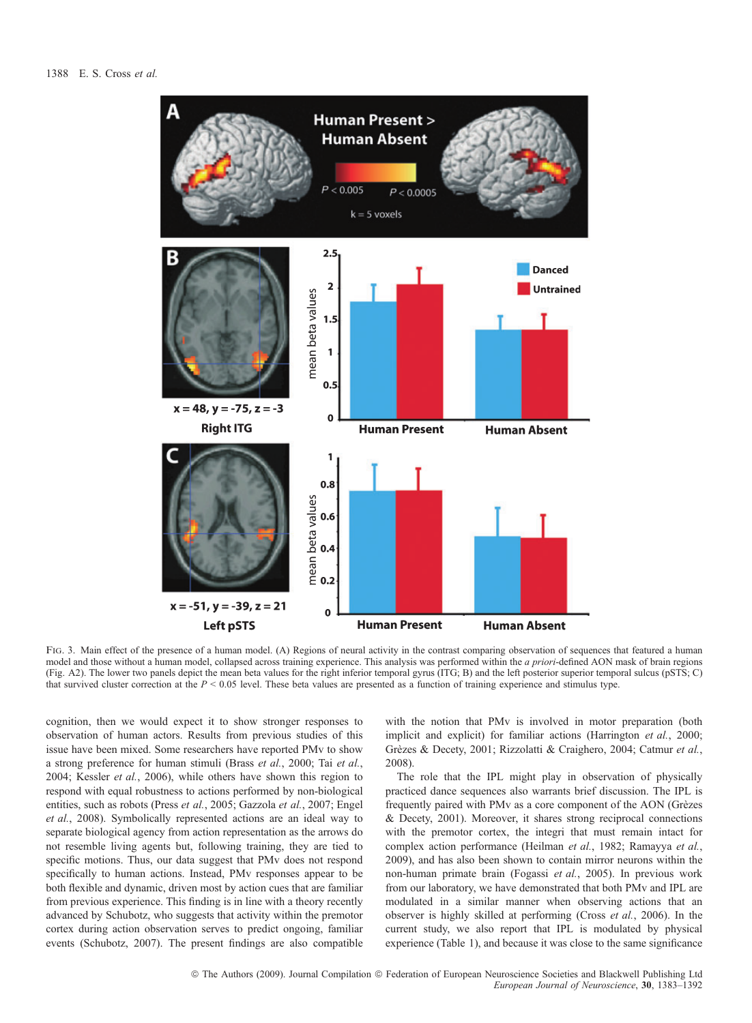

FIG. 3. Main effect of the presence of a human model. (A) Regions of neural activity in the contrast comparing observation of sequences that featured a human model and those without a human model, collapsed across training experience. This analysis was performed within the a priori-defined AON mask of brain regions (Fig. A2). The lower two panels depict the mean beta values for the right inferior temporal gyrus (ITG; B) and the left posterior superior temporal sulcus (pSTS; C) that survived cluster correction at the  $P < 0.05$  level. These beta values are presented as a function of training experience and stimulus type.

cognition, then we would expect it to show stronger responses to observation of human actors. Results from previous studies of this issue have been mixed. Some researchers have reported PMv to show a strong preference for human stimuli (Brass et al., 2000; Tai et al., 2004; Kessler et al., 2006), while others have shown this region to respond with equal robustness to actions performed by non-biological entities, such as robots (Press et al., 2005; Gazzola et al., 2007; Engel et al., 2008). Symbolically represented actions are an ideal way to separate biological agency from action representation as the arrows do not resemble living agents but, following training, they are tied to specific motions. Thus, our data suggest that PMv does not respond specifically to human actions. Instead, PMv responses appear to be both flexible and dynamic, driven most by action cues that are familiar from previous experience. This finding is in line with a theory recently advanced by Schubotz, who suggests that activity within the premotor cortex during action observation serves to predict ongoing, familiar events (Schubotz, 2007). The present findings are also compatible with the notion that PMv is involved in motor preparation (both implicit and explicit) for familiar actions (Harrington et al., 2000; Grèzes & Decety, 2001; Rizzolatti & Craighero, 2004; Catmur et al., 2008).

The role that the IPL might play in observation of physically practiced dance sequences also warrants brief discussion. The IPL is frequently paired with PMv as a core component of the AON (Grèzes & Decety, 2001). Moreover, it shares strong reciprocal connections with the premotor cortex, the integri that must remain intact for complex action performance (Heilman et al., 1982; Ramayya et al., 2009), and has also been shown to contain mirror neurons within the non-human primate brain (Fogassi et al., 2005). In previous work from our laboratory, we have demonstrated that both PMv and IPL are modulated in a similar manner when observing actions that an observer is highly skilled at performing (Cross et al., 2006). In the current study, we also report that IPL is modulated by physical experience (Table 1), and because it was close to the same significance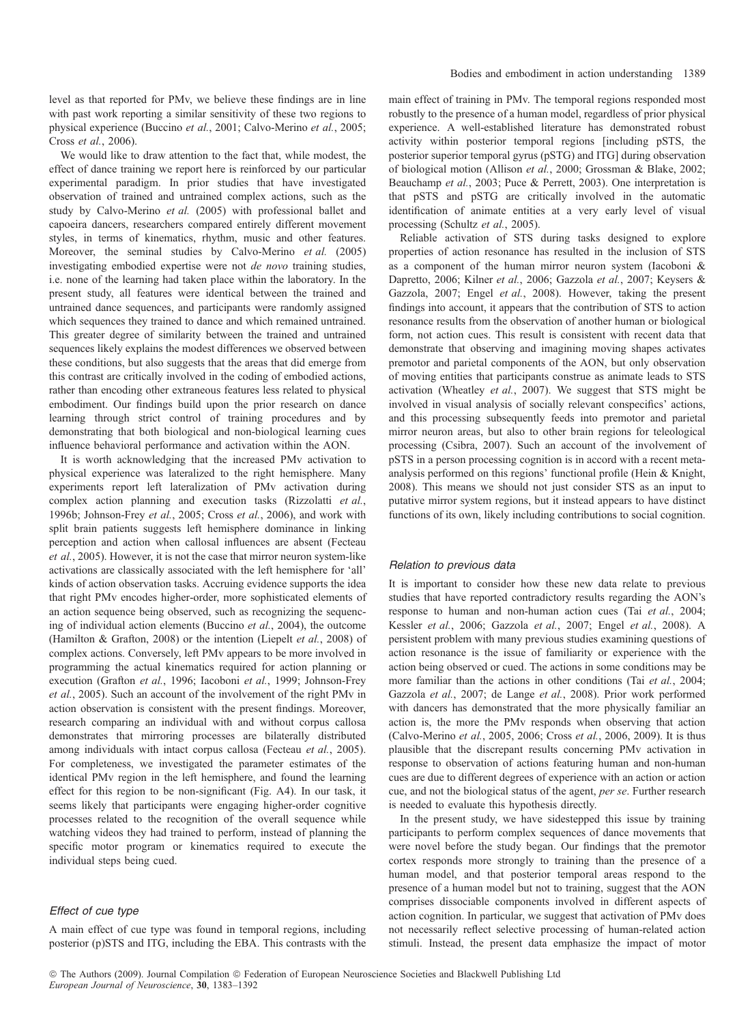level as that reported for PMv, we believe these findings are in line with past work reporting a similar sensitivity of these two regions to physical experience (Buccino et al., 2001; Calvo-Merino et al., 2005; Cross et al., 2006).

We would like to draw attention to the fact that, while modest, the effect of dance training we report here is reinforced by our particular experimental paradigm. In prior studies that have investigated observation of trained and untrained complex actions, such as the study by Calvo-Merino et al. (2005) with professional ballet and capoeira dancers, researchers compared entirely different movement styles, in terms of kinematics, rhythm, music and other features. Moreover, the seminal studies by Calvo-Merino et al. (2005) investigating embodied expertise were not de novo training studies, i.e. none of the learning had taken place within the laboratory. In the present study, all features were identical between the trained and untrained dance sequences, and participants were randomly assigned which sequences they trained to dance and which remained untrained. This greater degree of similarity between the trained and untrained sequences likely explains the modest differences we observed between these conditions, but also suggests that the areas that did emerge from this contrast are critically involved in the coding of embodied actions, rather than encoding other extraneous features less related to physical embodiment. Our findings build upon the prior research on dance learning through strict control of training procedures and by demonstrating that both biological and non-biological learning cues influence behavioral performance and activation within the AON.

It is worth acknowledging that the increased PMv activation to physical experience was lateralized to the right hemisphere. Many experiments report left lateralization of PMv activation during complex action planning and execution tasks (Rizzolatti et al., 1996b; Johnson-Frey et al., 2005; Cross et al., 2006), and work with split brain patients suggests left hemisphere dominance in linking perception and action when callosal influences are absent (Fecteau et al., 2005). However, it is not the case that mirror neuron system-like activations are classically associated with the left hemisphere for 'all' kinds of action observation tasks. Accruing evidence supports the idea that right PMv encodes higher-order, more sophisticated elements of an action sequence being observed, such as recognizing the sequencing of individual action elements (Buccino et al., 2004), the outcome (Hamilton & Grafton, 2008) or the intention (Liepelt et al., 2008) of complex actions. Conversely, left PMv appears to be more involved in programming the actual kinematics required for action planning or execution (Grafton et al., 1996; Iacoboni et al., 1999; Johnson-Frey et al., 2005). Such an account of the involvement of the right PMv in action observation is consistent with the present findings. Moreover, research comparing an individual with and without corpus callosa demonstrates that mirroring processes are bilaterally distributed among individuals with intact corpus callosa (Fecteau et al., 2005). For completeness, we investigated the parameter estimates of the identical PMv region in the left hemisphere, and found the learning effect for this region to be non-significant (Fig. A4). In our task, it

## Effect of cue type

seems likely that participants were engaging higher-order cognitive processes related to the recognition of the overall sequence while watching videos they had trained to perform, instead of planning the specific motor program or kinematics required to execute the individual steps being cued.

A main effect of cue type was found in temporal regions, including posterior (p)STS and ITG, including the EBA. This contrasts with the main effect of training in PMv. The temporal regions responded most robustly to the presence of a human model, regardless of prior physical experience. A well-established literature has demonstrated robust activity within posterior temporal regions [including pSTS, the posterior superior temporal gyrus (pSTG) and ITG] during observation of biological motion (Allison et al., 2000; Grossman & Blake, 2002; Beauchamp et al., 2003; Puce & Perrett, 2003). One interpretation is that pSTS and pSTG are critically involved in the automatic identification of animate entities at a very early level of visual processing (Schultz et al., 2005).

Reliable activation of STS during tasks designed to explore properties of action resonance has resulted in the inclusion of STS as a component of the human mirror neuron system (Iacoboni & Dapretto, 2006; Kilner et al., 2006; Gazzola et al., 2007; Keysers & Gazzola, 2007; Engel et al., 2008). However, taking the present findings into account, it appears that the contribution of STS to action resonance results from the observation of another human or biological form, not action cues. This result is consistent with recent data that demonstrate that observing and imagining moving shapes activates premotor and parietal components of the AON, but only observation of moving entities that participants construe as animate leads to STS activation (Wheatley et al., 2007). We suggest that STS might be involved in visual analysis of socially relevant conspecifics' actions, and this processing subsequently feeds into premotor and parietal mirror neuron areas, but also to other brain regions for teleological processing (Csibra, 2007). Such an account of the involvement of pSTS in a person processing cognition is in accord with a recent metaanalysis performed on this regions' functional profile (Hein & Knight, 2008). This means we should not just consider STS as an input to putative mirror system regions, but it instead appears to have distinct functions of its own, likely including contributions to social cognition.

# Relation to previous data

It is important to consider how these new data relate to previous studies that have reported contradictory results regarding the AON's response to human and non-human action cues (Tai et al., 2004; Kessler et al., 2006; Gazzola et al., 2007; Engel et al., 2008). A persistent problem with many previous studies examining questions of action resonance is the issue of familiarity or experience with the action being observed or cued. The actions in some conditions may be more familiar than the actions in other conditions (Tai et al., 2004; Gazzola et al., 2007; de Lange et al., 2008). Prior work performed with dancers has demonstrated that the more physically familiar an action is, the more the PMv responds when observing that action (Calvo-Merino et al., 2005, 2006; Cross et al., 2006, 2009). It is thus plausible that the discrepant results concerning PMv activation in response to observation of actions featuring human and non-human cues are due to different degrees of experience with an action or action cue, and not the biological status of the agent, per se. Further research is needed to evaluate this hypothesis directly.

In the present study, we have sidestepped this issue by training participants to perform complex sequences of dance movements that were novel before the study began. Our findings that the premotor cortex responds more strongly to training than the presence of a human model, and that posterior temporal areas respond to the presence of a human model but not to training, suggest that the AON comprises dissociable components involved in different aspects of action cognition. In particular, we suggest that activation of PMv does not necessarily reflect selective processing of human-related action stimuli. Instead, the present data emphasize the impact of motor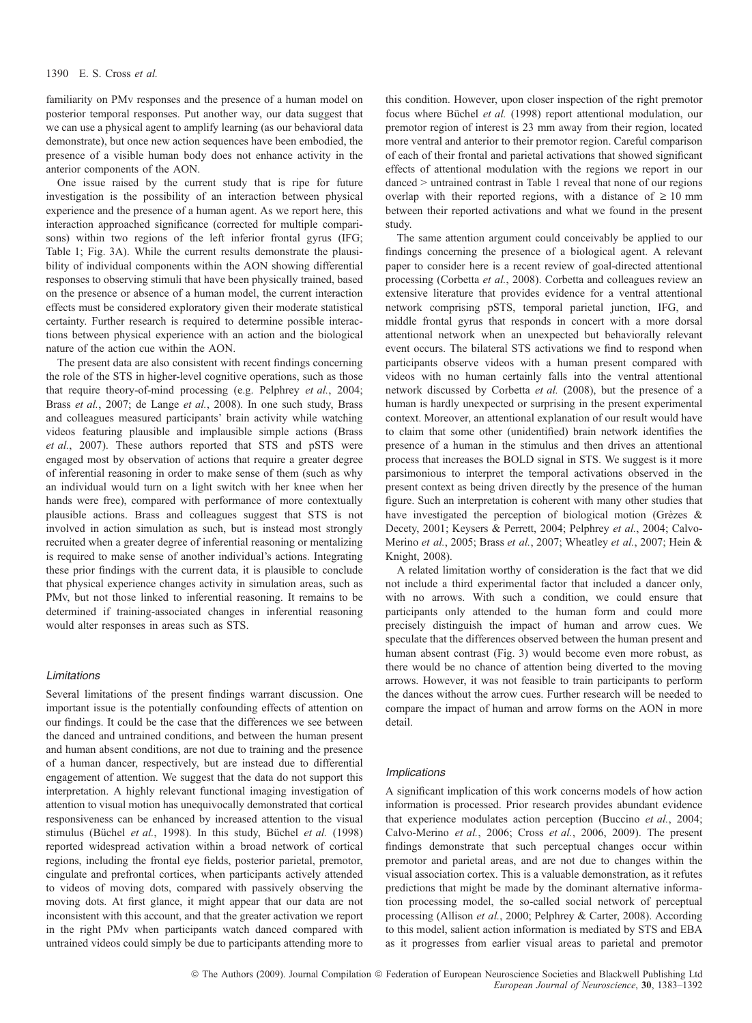#### 1390 E. S. Cross et al.

familiarity on PMv responses and the presence of a human model on posterior temporal responses. Put another way, our data suggest that we can use a physical agent to amplify learning (as our behavioral data demonstrate), but once new action sequences have been embodied, the presence of a visible human body does not enhance activity in the anterior components of the AON.

One issue raised by the current study that is ripe for future investigation is the possibility of an interaction between physical experience and the presence of a human agent. As we report here, this interaction approached significance (corrected for multiple comparisons) within two regions of the left inferior frontal gyrus (IFG; Table 1; Fig. 3A). While the current results demonstrate the plausibility of individual components within the AON showing differential responses to observing stimuli that have been physically trained, based on the presence or absence of a human model, the current interaction effects must be considered exploratory given their moderate statistical certainty. Further research is required to determine possible interactions between physical experience with an action and the biological nature of the action cue within the AON.

The present data are also consistent with recent findings concerning the role of the STS in higher-level cognitive operations, such as those that require theory-of-mind processing (e.g. Pelphrey et al., 2004; Brass et al., 2007; de Lange et al., 2008). In one such study, Brass and colleagues measured participants' brain activity while watching videos featuring plausible and implausible simple actions (Brass et al., 2007). These authors reported that STS and pSTS were engaged most by observation of actions that require a greater degree of inferential reasoning in order to make sense of them (such as why an individual would turn on a light switch with her knee when her hands were free), compared with performance of more contextually plausible actions. Brass and colleagues suggest that STS is not involved in action simulation as such, but is instead most strongly recruited when a greater degree of inferential reasoning or mentalizing is required to make sense of another individual's actions. Integrating these prior findings with the current data, it is plausible to conclude that physical experience changes activity in simulation areas, such as PMv, but not those linked to inferential reasoning. It remains to be determined if training-associated changes in inferential reasoning would alter responses in areas such as STS.

#### Limitations

Several limitations of the present findings warrant discussion. One important issue is the potentially confounding effects of attention on our findings. It could be the case that the differences we see between the danced and untrained conditions, and between the human present and human absent conditions, are not due to training and the presence of a human dancer, respectively, but are instead due to differential engagement of attention. We suggest that the data do not support this interpretation. A highly relevant functional imaging investigation of attention to visual motion has unequivocally demonstrated that cortical responsiveness can be enhanced by increased attention to the visual stimulus (Büchel et al., 1998). In this study, Büchel et al. (1998) reported widespread activation within a broad network of cortical regions, including the frontal eye fields, posterior parietal, premotor, cingulate and prefrontal cortices, when participants actively attended to videos of moving dots, compared with passively observing the moving dots. At first glance, it might appear that our data are not inconsistent with this account, and that the greater activation we report in the right PMv when participants watch danced compared with untrained videos could simply be due to participants attending more to

this condition. However, upon closer inspection of the right premotor focus where Büchel et al. (1998) report attentional modulation, our premotor region of interest is 23 mm away from their region, located more ventral and anterior to their premotor region. Careful comparison of each of their frontal and parietal activations that showed significant effects of attentional modulation with the regions we report in our danced > untrained contrast in Table 1 reveal that none of our regions overlap with their reported regions, with a distance of  $\geq 10$  mm between their reported activations and what we found in the present study.

The same attention argument could conceivably be applied to our findings concerning the presence of a biological agent. A relevant paper to consider here is a recent review of goal-directed attentional processing (Corbetta et al., 2008). Corbetta and colleagues review an extensive literature that provides evidence for a ventral attentional network comprising pSTS, temporal parietal junction, IFG, and middle frontal gyrus that responds in concert with a more dorsal attentional network when an unexpected but behaviorally relevant event occurs. The bilateral STS activations we find to respond when participants observe videos with a human present compared with videos with no human certainly falls into the ventral attentional network discussed by Corbetta et al. (2008), but the presence of a human is hardly unexpected or surprising in the present experimental context. Moreover, an attentional explanation of our result would have to claim that some other (unidentified) brain network identifies the presence of a human in the stimulus and then drives an attentional process that increases the BOLD signal in STS. We suggest is it more parsimonious to interpret the temporal activations observed in the present context as being driven directly by the presence of the human figure. Such an interpretation is coherent with many other studies that have investigated the perception of biological motion (Grèzes  $\&$ Decety, 2001; Keysers & Perrett, 2004; Pelphrey et al., 2004; Calvo-Merino et al., 2005; Brass et al., 2007; Wheatley et al., 2007; Hein & Knight, 2008).

A related limitation worthy of consideration is the fact that we did not include a third experimental factor that included a dancer only, with no arrows. With such a condition, we could ensure that participants only attended to the human form and could more precisely distinguish the impact of human and arrow cues. We speculate that the differences observed between the human present and human absent contrast (Fig. 3) would become even more robust, as there would be no chance of attention being diverted to the moving arrows. However, it was not feasible to train participants to perform the dances without the arrow cues. Further research will be needed to compare the impact of human and arrow forms on the AON in more detail.

#### Implications

A significant implication of this work concerns models of how action information is processed. Prior research provides abundant evidence that experience modulates action perception (Buccino et al., 2004; Calvo-Merino et al., 2006; Cross et al., 2006, 2009). The present findings demonstrate that such perceptual changes occur within premotor and parietal areas, and are not due to changes within the visual association cortex. This is a valuable demonstration, as it refutes predictions that might be made by the dominant alternative information processing model, the so-called social network of perceptual processing (Allison et al., 2000; Pelphrey & Carter, 2008). According to this model, salient action information is mediated by STS and EBA as it progresses from earlier visual areas to parietal and premotor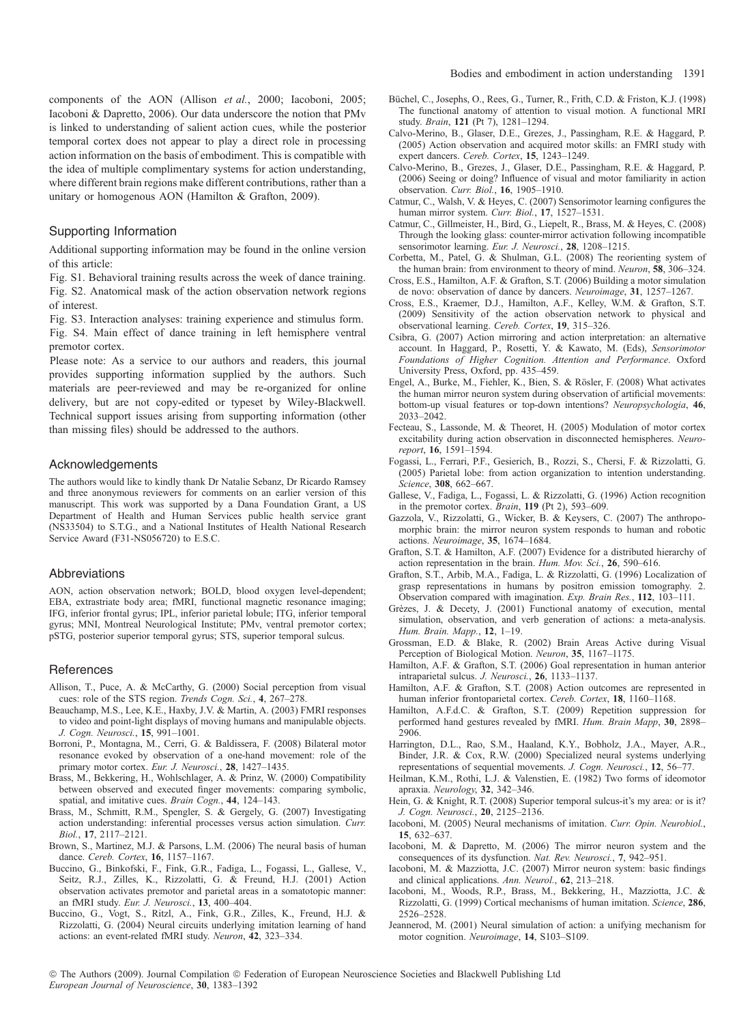components of the AON (Allison et al., 2000; Iacoboni, 2005; Iacoboni & Dapretto, 2006). Our data underscore the notion that PMv is linked to understanding of salient action cues, while the posterior temporal cortex does not appear to play a direct role in processing action information on the basis of embodiment. This is compatible with the idea of multiple complimentary systems for action understanding, where different brain regions make different contributions, rather than a unitary or homogenous AON (Hamilton & Grafton, 2009).

### Supporting Information

Additional supporting information may be found in the online version of this article:

Fig. S1. Behavioral training results across the week of dance training. Fig. S2. Anatomical mask of the action observation network regions of interest.

Fig. S3. Interaction analyses: training experience and stimulus form. Fig. S4. Main effect of dance training in left hemisphere ventral premotor cortex.

Please note: As a service to our authors and readers, this journal provides supporting information supplied by the authors. Such materials are peer-reviewed and may be re-organized for online delivery, but are not copy-edited or typeset by Wiley-Blackwell. Technical support issues arising from supporting information (other than missing files) should be addressed to the authors.

#### Acknowledgements

The authors would like to kindly thank Dr Natalie Sebanz, Dr Ricardo Ramsey and three anonymous reviewers for comments on an earlier version of this manuscript. This work was supported by a Dana Foundation Grant, a US Department of Health and Human Services public health service grant (NS33504) to S.T.G., and a National Institutes of Health National Research Service Award (F31-NS056720) to E.S.C.

#### Abbreviations

AON, action observation network; BOLD, blood oxygen level-dependent; EBA, extrastriate body area; fMRI, functional magnetic resonance imaging; IFG, inferior frontal gyrus; IPL, inferior parietal lobule; ITG, inferior temporal gyrus; MNI, Montreal Neurological Institute; PMv, ventral premotor cortex; pSTG, posterior superior temporal gyrus; STS, superior temporal sulcus.

## References

- Allison, T., Puce, A. & McCarthy, G. (2000) Social perception from visual cues: role of the STS region. Trends Cogn. Sci., 4, 267–278.
- Beauchamp, M.S., Lee, K.E., Haxby, J.V. & Martin, A. (2003) FMRI responses to video and point-light displays of moving humans and manipulable objects. J. Cogn. Neurosci., 15, 991–1001.
- Borroni, P., Montagna, M., Cerri, G. & Baldissera, F. (2008) Bilateral motor resonance evoked by observation of a one-hand movement: role of the primary motor cortex. Eur. J. Neurosci., 28, 1427-1435.
- Brass, M., Bekkering, H., Wohlschlager, A. & Prinz, W. (2000) Compatibility between observed and executed finger movements: comparing symbolic, spatial, and imitative cues. Brain Cogn., 44, 124–143.
- Brass, M., Schmitt, R.M., Spengler, S. & Gergely, G. (2007) Investigating action understanding: inferential processes versus action simulation. Curr. Biol., 17, 2117–2121.
- Brown, S., Martinez, M.J. & Parsons, L.M. (2006) The neural basis of human dance. Cereb. Cortex, 16, 1157-1167.
- Buccino, G., Binkofski, F., Fink, G.R., Fadiga, L., Fogassi, L., Gallese, V., Seitz, R.J., Zilles, K., Rizzolatti, G. & Freund, H.J. (2001) Action observation activates premotor and parietal areas in a somatotopic manner: an fMRI study. Eur. J. Neurosci., 13, 400–404.
- Buccino, G., Vogt, S., Ritzl, A., Fink, G.R., Zilles, K., Freund, H.J. & Rizzolatti, G. (2004) Neural circuits underlying imitation learning of hand actions: an event-related fMRI study. Neuron, 42, 323–334.
- Büchel, C., Josephs, O., Rees, G., Turner, R., Frith, C.D. & Friston, K.J. (1998) The functional anatomy of attention to visual motion. A functional MRI study. Brain, 121 (Pt 7), 1281–1294.
- Calvo-Merino, B., Glaser, D.E., Grezes, J., Passingham, R.E. & Haggard, P. (2005) Action observation and acquired motor skills: an FMRI study with expert dancers. Cereb. Cortex, 15, 1243–1249.
- Calvo-Merino, B., Grezes, J., Glaser, D.E., Passingham, R.E. & Haggard, P. (2006) Seeing or doing? Influence of visual and motor familiarity in action observation. Curr. Biol., 16, 1905–1910.
- Catmur, C., Walsh, V. & Heyes, C. (2007) Sensorimotor learning configures the human mirror system. Curr. Biol., 17, 1527–1531.
- Catmur, C., Gillmeister, H., Bird, G., Liepelt, R., Brass, M. & Heyes, C. (2008) Through the looking glass: counter-mirror activation following incompatible sensorimotor learning. Eur. J. Neurosci., 28, 1208-1215.
- Corbetta, M., Patel, G. & Shulman, G.L. (2008) The reorienting system of the human brain: from environment to theory of mind. Neuron, 58, 306–324.
- Cross, E.S., Hamilton, A.F. & Grafton, S.T. (2006) Building a motor simulation de novo: observation of dance by dancers. Neuroimage, 31, 1257–1267.
- Cross, E.S., Kraemer, D.J., Hamilton, A.F., Kelley, W.M. & Grafton, S.T. (2009) Sensitivity of the action observation network to physical and observational learning. Cereb. Cortex, 19, 315–326.
- Csibra, G. (2007) Action mirroring and action interpretation: an alternative account. In Haggard, P., Rosetti, Y. & Kawato, M. (Eds), Sensorimotor Foundations of Higher Cognition. Attention and Performance. Oxford University Press, Oxford, pp. 435–459.
- Engel, A., Burke, M., Fiehler, K., Bien, S. & Rösler, F. (2008) What activates the human mirror neuron system during observation of artificial movements: bottom-up visual features or top-down intentions? Neuropsychologia, 46, 2033–2042.
- Fecteau, S., Lassonde, M. & Theoret, H. (2005) Modulation of motor cortex excitability during action observation in disconnected hemispheres. Neuroreport, 16, 1591–1594.
- Fogassi, L., Ferrari, P.F., Gesierich, B., Rozzi, S., Chersi, F. & Rizzolatti, G. (2005) Parietal lobe: from action organization to intention understanding. Science, 308, 662–667.
- Gallese, V., Fadiga, L., Fogassi, L. & Rizzolatti, G. (1996) Action recognition in the premotor cortex. Brain, 119 (Pt 2), 593-609.
- Gazzola, V., Rizzolatti, G., Wicker, B. & Keysers, C. (2007) The anthropomorphic brain: the mirror neuron system responds to human and robotic actions. Neuroimage, 35, 1674–1684.
- Grafton, S.T. & Hamilton, A.F. (2007) Evidence for a distributed hierarchy of action representation in the brain. Hum. Mov. Sci., 26, 590–616.
- Grafton, S.T., Arbib, M.A., Fadiga, L. & Rizzolatti, G. (1996) Localization of grasp representations in humans by positron emission tomography. 2. Observation compared with imagination. Exp. Brain Res., 112, 103–111.
- Grèzes, J. & Decety, J. (2001) Functional anatomy of execution, mental simulation, observation, and verb generation of actions: a meta-analysis. Hum. Brain. Mapp., 12, 1–19.
- Grossman, E.D. & Blake, R. (2002) Brain Areas Active during Visual Perception of Biological Motion. Neuron, 35, 1167–1175.
- Hamilton, A.F. & Grafton, S.T. (2006) Goal representation in human anterior intraparietal sulcus. J. Neurosci., 26, 1133–1137.
- Hamilton, A.F. & Grafton, S.T. (2008) Action outcomes are represented in human inferior frontoparietal cortex. Cereb. Cortex, 18, 1160–1168.
- Hamilton, A.F.d.C. & Grafton, S.T. (2009) Repetition suppression for performed hand gestures revealed by fMRI. Hum. Brain Mapp, 30, 2898– 2906.
- Harrington, D.L., Rao, S.M., Haaland, K.Y., Bobholz, J.A., Mayer, A.R., Binder, J.R. & Cox, R.W. (2000) Specialized neural systems underlying representations of sequential movements. J. Cogn. Neurosci., 12, 56–77.
- Heilman, K.M., Rothi, L.J. & Valenstien, E. (1982) Two forms of ideomotor apraxia. Neurology, 32, 342–346.
- Hein, G. & Knight, R.T. (2008) Superior temporal sulcus-it's my area: or is it? J. Cogn. Neurosci., 20, 2125–2136.
- Iacoboni, M. (2005) Neural mechanisms of imitation. Curr. Opin. Neurobiol., 15, 632–637.
- Iacoboni, M. & Dapretto, M. (2006) The mirror neuron system and the consequences of its dysfunction. Nat. Rev. Neurosci., 7, 942–951.
- Iacoboni, M. & Mazziotta, J.C. (2007) Mirror neuron system: basic findings and clinical applications. Ann. Neurol., 62, 213–218.
- Iacoboni, M., Woods, R.P., Brass, M., Bekkering, H., Mazziotta, J.C. & Rizzolatti, G. (1999) Cortical mechanisms of human imitation. Science, 286, 2526–2528.
- Jeannerod, M. (2001) Neural simulation of action: a unifying mechanism for motor cognition. Neuroimage, 14, S103–S109.
- © The Authors (2009). Journal Compilation © Federation of European Neuroscience Societies and Blackwell Publishing Ltd European Journal of Neuroscience, 30, 1383–1392